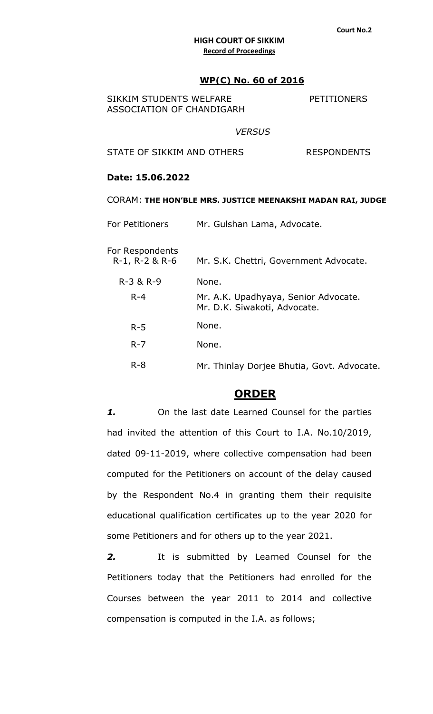## **WP(C) No. 60 of 2016**

| SIKKIM STUDENTS WELFARE   |  |
|---------------------------|--|
| ASSOCIATION OF CHANDIGARH |  |

**PETITIONERS** 

### *VERSUS*

STATE OF SIKKIM AND OTHERS RESPONDENTS

# **Date: 15.06.2022**

#### CORAM: **THE HON'BLE MRS. JUSTICE MEENAKSHI MADAN RAI, JUDGE**

| <b>For Petitioners</b>            | Mr. Gulshan Lama, Advocate.                                          |  |  |
|-----------------------------------|----------------------------------------------------------------------|--|--|
| For Respondents<br>R-1, R-2 & R-6 | Mr. S.K. Chettri, Government Advocate.                               |  |  |
| R-3 & R-9                         | None.                                                                |  |  |
| $R - 4$                           | Mr. A.K. Upadhyaya, Senior Advocate.<br>Mr. D.K. Siwakoti, Advocate. |  |  |
| $R - 5$                           | None.                                                                |  |  |
| $R - 7$                           | None.                                                                |  |  |
| $R - 8$                           | Mr. Thinlay Dorjee Bhutia, Govt. Advocate.                           |  |  |

# **ORDER**

*1.* On the last date Learned Counsel for the parties had invited the attention of this Court to I.A. No.10/2019, dated 09-11-2019, where collective compensation had been computed for the Petitioners on account of the delay caused by the Respondent No.4 in granting them their requisite educational qualification certificates up to the year 2020 for some Petitioners and for others up to the year 2021.

*2.* It is submitted by Learned Counsel for the Petitioners today that the Petitioners had enrolled for the Courses between the year 2011 to 2014 and collective compensation is computed in the I.A. as follows;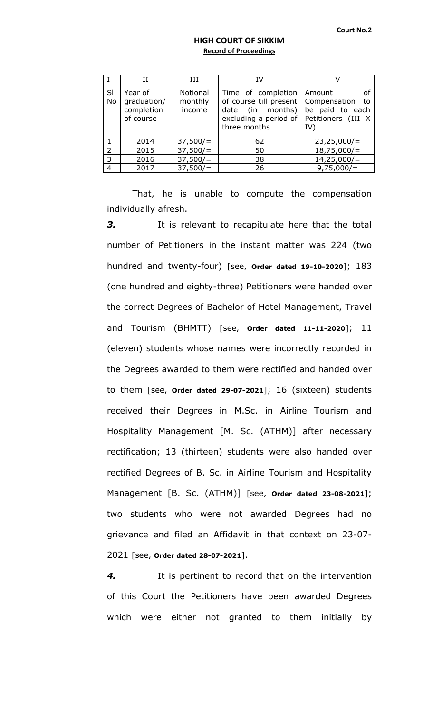|          |                                                   | ĦТ                            | ΙV                                                                                                                                                             |                                      |
|----------|---------------------------------------------------|-------------------------------|----------------------------------------------------------------------------------------------------------------------------------------------------------------|--------------------------------------|
| SI<br>No | Year of<br>graduation/<br>completion<br>of course | Notional<br>monthly<br>income | Time of completion   Amount<br>of course till present   Compensation<br>date (in months) $\vert$<br>excluding a period of Petitioners (III $X$<br>three months | οf<br>- to<br>be paid to each<br>IV) |
|          | 2014                                              | 37,500/                       | 62                                                                                                                                                             | 23,25,000/                           |
| 2        | 2015                                              | 37,500/                       | 50                                                                                                                                                             | $18,75,000/$ =                       |
| 3        | 2016                                              | 37,500/                       | 38                                                                                                                                                             | $14,25,000/$ =                       |
| 4        | 2017                                              | 37,500/                       | 26                                                                                                                                                             | 9,75,000/                            |

That, he is unable to compute the compensation individually afresh.

**3.** It is relevant to recapitulate here that the total number of Petitioners in the instant matter was 224 (two hundred and twenty-four) [see, **Order dated 19-10-2020**]; 183 (one hundred and eighty-three) Petitioners were handed over the correct Degrees of Bachelor of Hotel Management, Travel and Tourism (BHMTT) [see, **Order dated 11-11-2020**]; 11 (eleven) students whose names were incorrectly recorded in the Degrees awarded to them were rectified and handed over to them [see, **Order dated 29-07-2021**]; 16 (sixteen) students received their Degrees in M.Sc. in Airline Tourism and Hospitality Management [M. Sc. (ATHM)] after necessary rectification; 13 (thirteen) students were also handed over rectified Degrees of B. Sc. in Airline Tourism and Hospitality Management [B. Sc. (ATHM)] [see, **Order dated 23-08-2021**]; two students who were not awarded Degrees had no grievance and filed an Affidavit in that context on 23-07- 2021 [see, **Order dated 28-07-2021**].

*4.* It is pertinent to record that on the intervention of this Court the Petitioners have been awarded Degrees which were either not granted to them initially by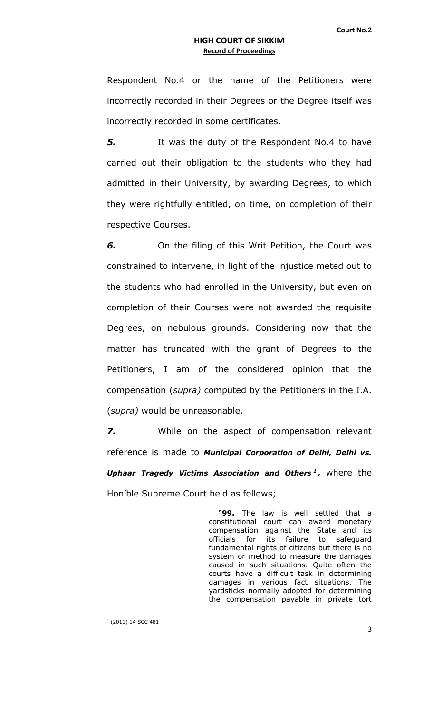Respondent No.4 or the name of the Petitioners were incorrectly recorded in their Degrees or the Degree itself was incorrectly recorded in some certificates.

**5.** It was the duty of the Respondent No.4 to have carried out their obligation to the students who they had admitted in their University, by awarding Degrees, to which they were rightfully entitled, on time, on completion of their respective Courses.

*6.* On the filing of this Writ Petition, the Court was constrained to intervene, in light of the injustice meted out to the students who had enrolled in the University, but even on completion of their Courses were not awarded the requisite Degrees, on nebulous grounds. Considering now that the matter has truncated with the grant of Degrees to the Petitioners, I am of the considered opinion that the compensation (*supra)* computed by the Petitioners in the I.A. (*supra)* would be unreasonable.

*7.* While on the aspect of compensation relevant reference is made to *Municipal Corporation of Delhi, Delhi vs. Uphaar Tragedy Victims Association and Others <sup>1</sup> ,* where the Hon'ble Supreme Court held as follows;

> "**99.** The law is well settled that a constitutional court can award monetary compensation against the State and its officials for its failure to safeguard fundamental rights of citizens but there is no system or method to measure the damages caused in such situations. Quite often the courts have a difficult task in determining damages in various fact situations. The yardsticks normally adopted for determining the compensation payable in private tort

 1 (2011) 14 SCC 481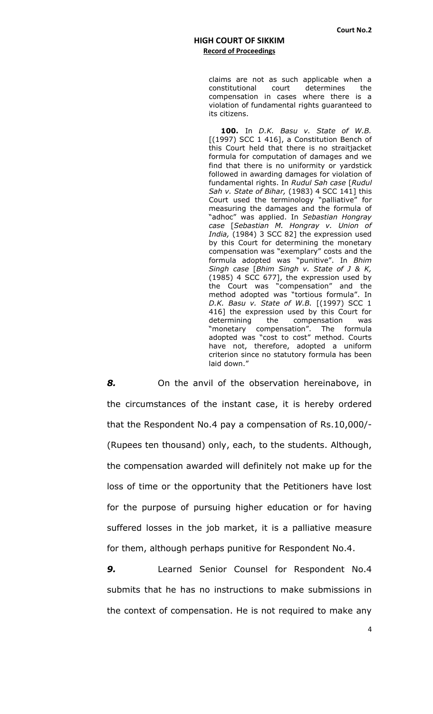claims are not as such applicable when a constitutional court determines the compensation in cases where there is a violation of fundamental rights guaranteed to its citizens.

**100.** In *D.K. Basu v. State of W.B.*  [(1997) SCC 1 416], a Constitution Bench of this Court held that there is no straitjacket formula for computation of damages and we find that there is no uniformity or yardstick followed in awarding damages for violation of fundamental rights. In *Rudul Sah case* [*Rudul Sah v. State of Bihar,* (1983) 4 SCC 141] this Court used the terminology "palliative" for measuring the damages and the formula of "adhoc" was applied. In *Sebastian Hongray case* [*Sebastian M. Hongray v. Union of India,* (1984) 3 SCC 82] the expression used by this Court for determining the monetary compensation was "exemplary" costs and the formula adopted was "punitive". In *Bhim Singh case* [*Bhim Singh v. State of J & K,*  (1985) 4 SCC 677], the expression used by the Court was "compensation" and the method adopted was "tortious formula". In *D.K. Basu v. State of W.B.* [(1997) SCC 1 416] the expression used by this Court for determining the compensation was "monetary compensation". The formula adopted was "cost to cost" method. Courts have not, therefore, adopted a uniform criterion since no statutory formula has been laid down."

*8.* On the anvil of the observation hereinabove, in the circumstances of the instant case, it is hereby ordered that the Respondent No.4 pay a compensation of Rs.10,000/- (Rupees ten thousand) only, each, to the students. Although, the compensation awarded will definitely not make up for the loss of time or the opportunity that the Petitioners have lost for the purpose of pursuing higher education or for having suffered losses in the job market, it is a palliative measure for them, although perhaps punitive for Respondent No.4.

*9.* Learned Senior Counsel for Respondent No.4 submits that he has no instructions to make submissions in the context of compensation. He is not required to make any